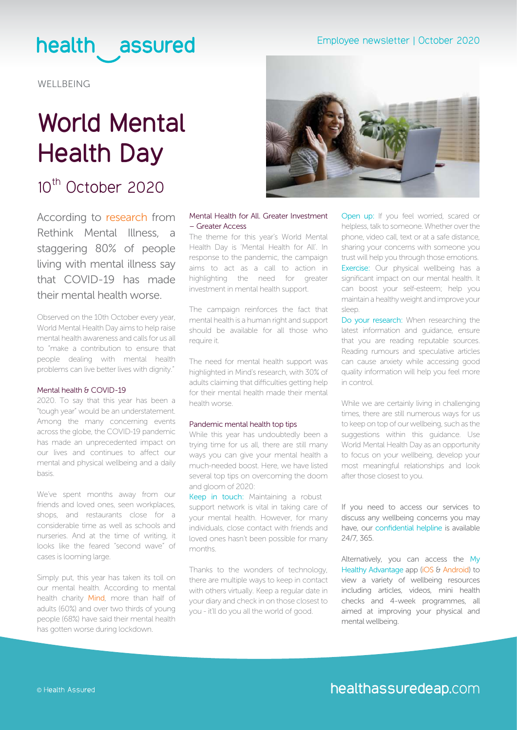### health assured

**WELLBEING** 

# **World Mental Health Day**

### 10<sup>th</sup> October 2020

According to [research](https://www.rethink.org/news-and-stories/news/2020/04/80-of-people-living-with-mental-illness-say-current-crisis-has-made-their-mental-health-worse/) from Rethink Mental Illness, a staggering 80% of people living with mental illness say that COVID-19 has made their mental health worse.

Observed on the 10th October every year, World Mental Health Day aims to help raise mental health awareness and calls for us all to "make a contribution to ensure that people dealing with mental health problems can live better lives with dignity."

#### Mental health & COVID-19

2020. To say that this year has been a "tough year" would be an understatement. Among the many concerning events across the globe, the COVID-19 pandemic has made an unprecedented impact on our lives and continues to affect our mental and physical wellbeing and a daily basis.

We've spent months away from our friends and loved ones, seen workplaces, shops, and restaurants close for a considerable time as well as schools and nurseries. And at the time of writing, it looks like the feared "second wave" of cases is looming large.

Simply put, this year has taken its toll on our mental health. According to mental health charity [Mind](https://www.mind.org.uk/media-a/5929/the-mental-health-emergency_a4_final.pdf), more than half of adults (60%) and over two thirds of young people (68%) have said their mental health has gotten worse during lockdown.



#### Mental Health for All. Greater Investment – Greater Access

The theme for this year's World Mental Health Day is 'Mental Health for All'. In response to the pandemic, the campaign aims to act as a call to action in highlighting the need for greater investment in mental health support.

The campaign reinforces the fact that mental health is a human right and support should be available for all those who require it.

The need for mental health support was highlighted in Mind's research, with 30% of adults claiming that difficulties getting help for their mental health made their mental health worse.

#### Pandemic mental health top tips

While this year has undoubtedly been a trying time for us all, there are still many ways you can give your mental health a much-needed boost. Here, we have listed several top tips on overcoming the doom and gloom of 2020:

Keep in touch: Maintaining a robust support network is vital in taking care of your mental health. However, for many individuals, close contact with friends and loved ones hasn't been possible for many months.

Thanks to the wonders of technology, there are multiple ways to keep in contact with others virtually. Keep a regular date in your diary and check in on those closest to you - it'll do you all the world of good.

Open up: If you feel worried, scared or helpless, talk to someone. Whether over the phone, video call, text or at a safe distance, sharing your concerns with someone you trust will help you through those emotions. Exercise: Our physical wellbeing has a significant impact on our mental health. It can boost your self-esteem; help you maintain a healthy weight and improve your sleep.

Do your research: When researching the latest information and guidance, ensure that you are reading reputable sources. Reading rumours and speculative articles can cause anxiety while accessing good quality information will help you feel more in control.

While we are certainly living in challenging times, there are still numerous ways for us to keep on top of our wellbeing, such as the suggestions within this guidance. Use World Mental Health Day as an opportunity to focus on your wellbeing, develop your most meaningful relationships and look after those closest to you.

If you need to access our services to discuss any wellbeing concerns you may have, our confidential helpline is available 24/7, 365.

Alternatively, you can access the My Healthy Advantage app [\(iOS](https://www.mind.org.uk/media-a/5929/the-mental-health-emergency_a4_final.pdf) & [Android](https://play.google.com/store/apps/details?id=com.healthassured.app)) to view a variety of wellbeing resources including articles, videos, mini health checks and 4-week programmes, all aimed at improving your physical and mental wellbeing.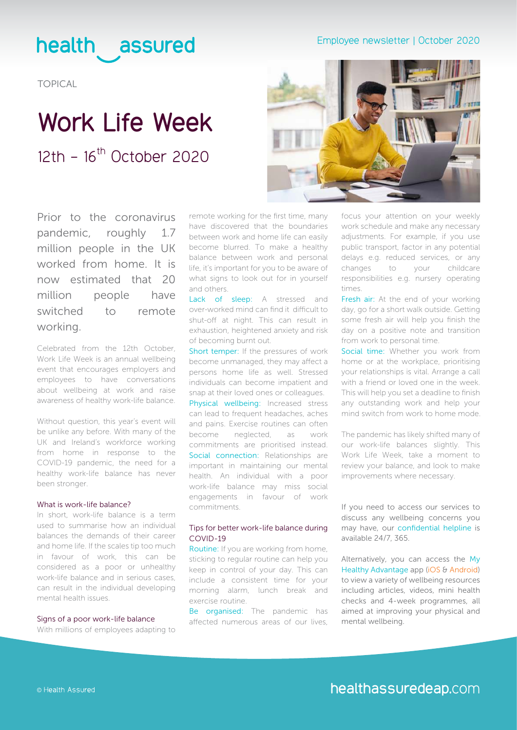#### Employee newsletter | October 2020

### health assured

TOPICAL

### **Work Life Week**  $12th - 16^{th}$  October 2020



Prior to the coronavirus pandemic, roughly 1.7 million people in the UK worked from home. It is now estimated that 20 million people have switched to remote working.

Celebrated from the 12th October, Work Life Week is an annual wellbeing event that encourages employers and employees to have conversations about wellbeing at work and raise awareness of healthy work-life balance.

Without question, this year's event will be unlike any before. With many of the UK and Ireland's workforce working from home in response to the COVID-19 pandemic, the need for a healthy work-life balance has never been stronger.

#### What is work-life balance?

In short, work-life balance is a term used to summarise how an individual balances the demands of their career and home life. If the scales tip too much in favour of work, this can be considered as a poor or unhealthy work-life balance and in serious cases, can result in the individual developing mental health issues.

#### Signs of a poor work-life balance

With millions of employees adapting to

remote working for the first time, many have discovered that the boundaries between work and home life can easily become blurred. To make a healthy balance between work and personal life, it's important for you to be aware of what signs to look out for in yourself and others.

Lack of sleep: A stressed and over-worked mind can find it difficult to shut-off at night. This can result in exhaustion, heightened anxiety and risk of becoming burnt out.

Short temper: If the pressures of work become unmanaged, they may affect a persons home life as well. Stressed individuals can become impatient and snap at their loved ones or colleagues. Physical wellbeing: Increased stress can lead to frequent headaches, aches and pains. Exercise routines can often

become neglected, as work commitments are prioritised instead. Social connection: Relationships are important in maintaining our mental health. An individual with a poor work-life balance may miss social engagements in favour of work commitments.

#### Tips for better work-life balance during COVID-19

Routine: If you are working from home, sticking to regular routine can help you keep in control of your day. This can include a consistent time for your morning alarm, lunch break and exercise routine.

Be organised: The pandemic has affected numerous areas of our lives, focus your attention on your weekly work schedule and make any necessary adjustments. For example, if you use public transport, factor in any potential delays e.g. reduced services, or any changes to your childcare responsibilities e.g. nursery operating times.

Fresh air: At the end of your working day, go for a short walk outside. Getting some fresh air will help you finish the day on a positive note and transition from work to personal time.

Social time: Whether you work from home or at the workplace, prioritising your relationships is vital. Arrange a call with a friend or loved one in the week. This will help you set a deadline to finish any outstanding work and help your mind switch from work to home mode.

The pandemic has likely shifted many of our work-life balances slightly. This Work Life Week, take a moment to review your balance, and look to make improvements where necessary.

#### If you need to access our services to discuss any wellbeing concerns you may have, our confidential helpline is available 24/7, 365.

Alternatively, you can access the My Healthy Advantage app (i[OS &](https://www.mind.org.uk/media-a/5929/the-mental-health-emergency_a4_final.pdf) [Android](https://play.google.com/store/apps/details?id=com.healthassured.app)) to view a variety of wellbeing resources including articles, videos, mini health checks and 4-week programmes, all aimed at improving your physical and mental wellbeing.